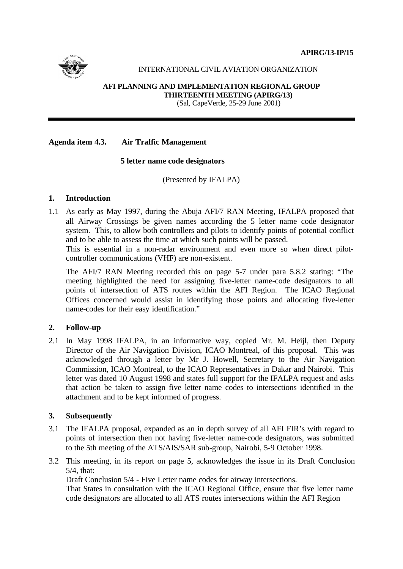**APIRG/13-IP/15**



# INTERNATIONAL CIVIL AVIATION ORGANIZATION

#### **AFI PLANNING AND IMPLEMENTATION REGIONAL GROUP THIRTEENTH MEETING (APIRG/13)**

(Sal, CapeVerde, 25-29 June 2001)

# **Agenda item 4.3. Air Traffic Management**

### **5 letter name code designators**

(Presented by IFALPA)

### **1. Introduction**

1.1 As early as May 1997, during the Abuja AFI/7 RAN Meeting, IFALPA proposed that all Airway Crossings be given names according the 5 letter name code designator system. This, to allow both controllers and pilots to identify points of potential conflict and to be able to assess the time at which such points will be passed.

This is essential in a non-radar environment and even more so when direct pilotcontroller communications (VHF) are non-existent.

The AFI/7 RAN Meeting recorded this on page 5-7 under para 5.8.2 stating: "The meeting highlighted the need for assigning five-letter name-code designators to all points of intersection of ATS routes within the AFI Region. The ICAO Regional Offices concerned would assist in identifying those points and allocating five-letter name-codes for their easy identification."

# **2. Follow-up**

2.1 In May 1998 IFALPA, in an informative way, copied Mr. M. Heijl, then Deputy Director of the Air Navigation Division, ICAO Montreal, of this proposal. This was acknowledged through a letter by Mr J. Howell, Secretary to the Air Navigation Commission, ICAO Montreal, to the ICAO Representatives in Dakar and Nairobi. This letter was dated 10 August 1998 and states full support for the IFALPA request and asks that action be taken to assign five letter name codes to intersections identified in the attachment and to be kept informed of progress.

# **3. Subsequently**

- 3.1 The IFALPA proposal, expanded as an in depth survey of all AFI FIR's with regard to points of intersection then not having five-letter name-code designators, was submitted to the 5th meeting of the ATS/AIS/SAR sub-group, Nairobi, 5-9 October 1998.
- 3.2 This meeting, in its report on page 5, acknowledges the issue in its Draft Conclusion  $5/4$ , that:

Draft Conclusion 5/4 - Five Letter name codes for airway intersections.

That States in consultation with the ICAO Regional Office, ensure that five letter name code designators are allocated to all ATS routes intersections within the AFI Region